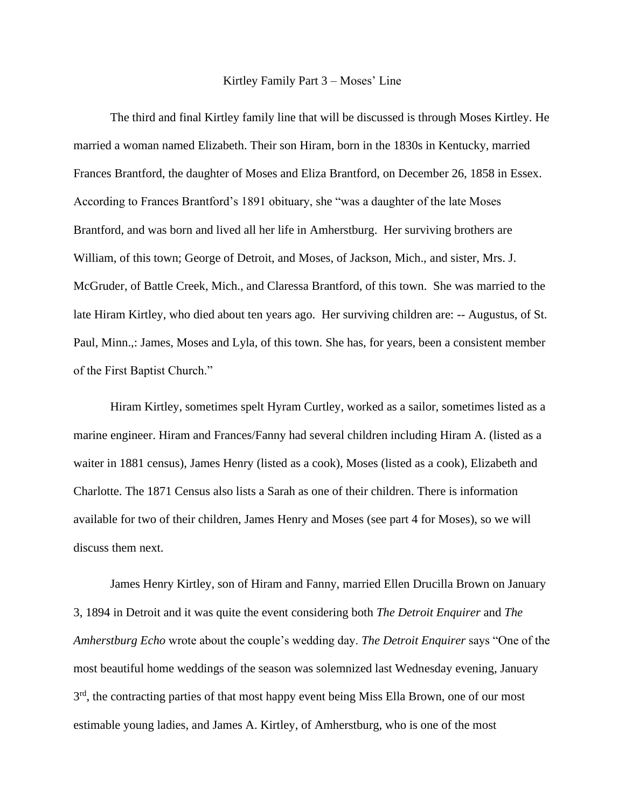## Kirtley Family Part 3 – Moses' Line

The third and final Kirtley family line that will be discussed is through Moses Kirtley. He married a woman named Elizabeth. Their son Hiram, born in the 1830s in Kentucky, married Frances Brantford, the daughter of Moses and Eliza Brantford, on December 26, 1858 in Essex. According to Frances Brantford's 1891 obituary, she "was a daughter of the late Moses Brantford, and was born and lived all her life in Amherstburg. Her surviving brothers are William, of this town; George of Detroit, and Moses, of Jackson, Mich., and sister, Mrs. J. McGruder, of Battle Creek, Mich., and Claressa Brantford, of this town. She was married to the late Hiram Kirtley, who died about ten years ago. Her surviving children are: -- Augustus, of St. Paul, Minn.,: James, Moses and Lyla, of this town. She has, for years, been a consistent member of the First Baptist Church."

Hiram Kirtley, sometimes spelt Hyram Curtley, worked as a sailor, sometimes listed as a marine engineer. Hiram and Frances/Fanny had several children including Hiram A. (listed as a waiter in 1881 census), James Henry (listed as a cook), Moses (listed as a cook), Elizabeth and Charlotte. The 1871 Census also lists a Sarah as one of their children. There is information available for two of their children, James Henry and Moses (see part 4 for Moses), so we will discuss them next.

James Henry Kirtley, son of Hiram and Fanny, married Ellen Drucilla Brown on January 3, 1894 in Detroit and it was quite the event considering both *The Detroit Enquirer* and *The Amherstburg Echo* wrote about the couple's wedding day. *The Detroit Enquirer* says "One of the most beautiful home weddings of the season was solemnized last Wednesday evening, January 3<sup>rd</sup>, the contracting parties of that most happy event being Miss Ella Brown, one of our most estimable young ladies, and James A. Kirtley, of Amherstburg, who is one of the most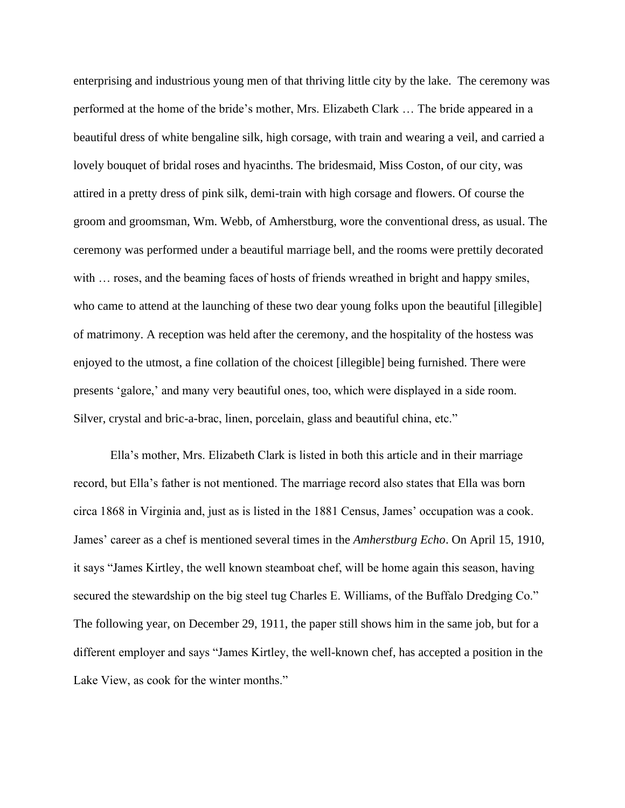enterprising and industrious young men of that thriving little city by the lake. The ceremony was performed at the home of the bride's mother, Mrs. Elizabeth Clark … The bride appeared in a beautiful dress of white bengaline silk, high corsage, with train and wearing a veil, and carried a lovely bouquet of bridal roses and hyacinths. The bridesmaid, Miss Coston, of our city, was attired in a pretty dress of pink silk, demi-train with high corsage and flowers. Of course the groom and groomsman, Wm. Webb, of Amherstburg, wore the conventional dress, as usual. The ceremony was performed under a beautiful marriage bell, and the rooms were prettily decorated with ... roses, and the beaming faces of hosts of friends wreathed in bright and happy smiles, who came to attend at the launching of these two dear young folks upon the beautiful [illegible] of matrimony. A reception was held after the ceremony, and the hospitality of the hostess was enjoyed to the utmost, a fine collation of the choicest [illegible] being furnished. There were presents 'galore,' and many very beautiful ones, too, which were displayed in a side room. Silver, crystal and bric-a-brac, linen, porcelain, glass and beautiful china, etc."

Ella's mother, Mrs. Elizabeth Clark is listed in both this article and in their marriage record, but Ella's father is not mentioned. The marriage record also states that Ella was born circa 1868 in Virginia and, just as is listed in the 1881 Census, James' occupation was a cook. James' career as a chef is mentioned several times in the *Amherstburg Echo*. On April 15, 1910, it says "James Kirtley, the well known steamboat chef, will be home again this season, having secured the stewardship on the big steel tug Charles E. Williams, of the Buffalo Dredging Co." The following year, on December 29, 1911, the paper still shows him in the same job, but for a different employer and says "James Kirtley, the well-known chef, has accepted a position in the Lake View, as cook for the winter months."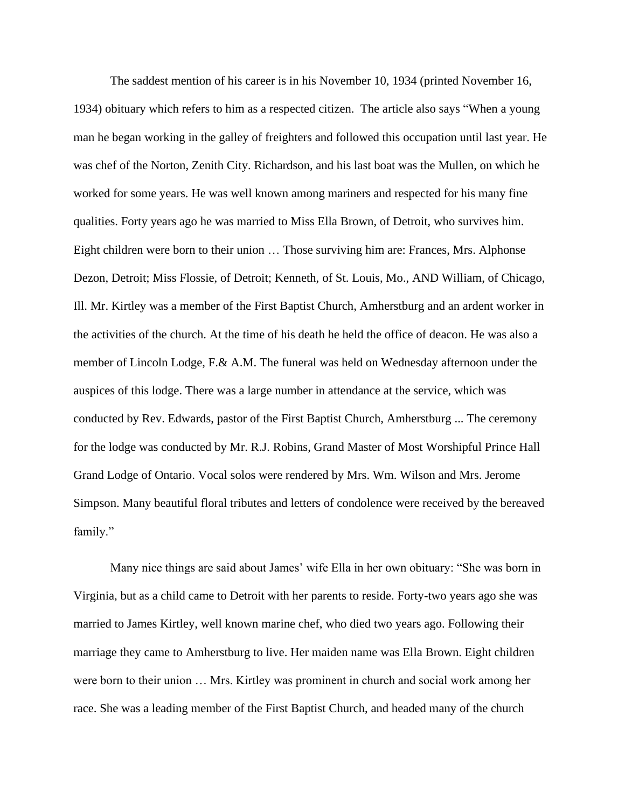The saddest mention of his career is in his November 10, 1934 (printed November 16, 1934) obituary which refers to him as a respected citizen. The article also says "When a young man he began working in the galley of freighters and followed this occupation until last year. He was chef of the Norton, Zenith City. Richardson, and his last boat was the Mullen, on which he worked for some years. He was well known among mariners and respected for his many fine qualities. Forty years ago he was married to Miss Ella Brown, of Detroit, who survives him. Eight children were born to their union … Those surviving him are: Frances, Mrs. Alphonse Dezon, Detroit; Miss Flossie, of Detroit; Kenneth, of St. Louis, Mo., AND William, of Chicago, Ill. Mr. Kirtley was a member of the First Baptist Church, Amherstburg and an ardent worker in the activities of the church. At the time of his death he held the office of deacon. He was also a member of Lincoln Lodge, F.& A.M. The funeral was held on Wednesday afternoon under the auspices of this lodge. There was a large number in attendance at the service, which was conducted by Rev. Edwards, pastor of the First Baptist Church, Amherstburg ... The ceremony for the lodge was conducted by Mr. R.J. Robins, Grand Master of Most Worshipful Prince Hall Grand Lodge of Ontario. Vocal solos were rendered by Mrs. Wm. Wilson and Mrs. Jerome Simpson. Many beautiful floral tributes and letters of condolence were received by the bereaved family."

Many nice things are said about James' wife Ella in her own obituary: "She was born in Virginia, but as a child came to Detroit with her parents to reside. Forty-two years ago she was married to James Kirtley, well known marine chef, who died two years ago. Following their marriage they came to Amherstburg to live. Her maiden name was Ella Brown. Eight children were born to their union … Mrs. Kirtley was prominent in church and social work among her race. She was a leading member of the First Baptist Church, and headed many of the church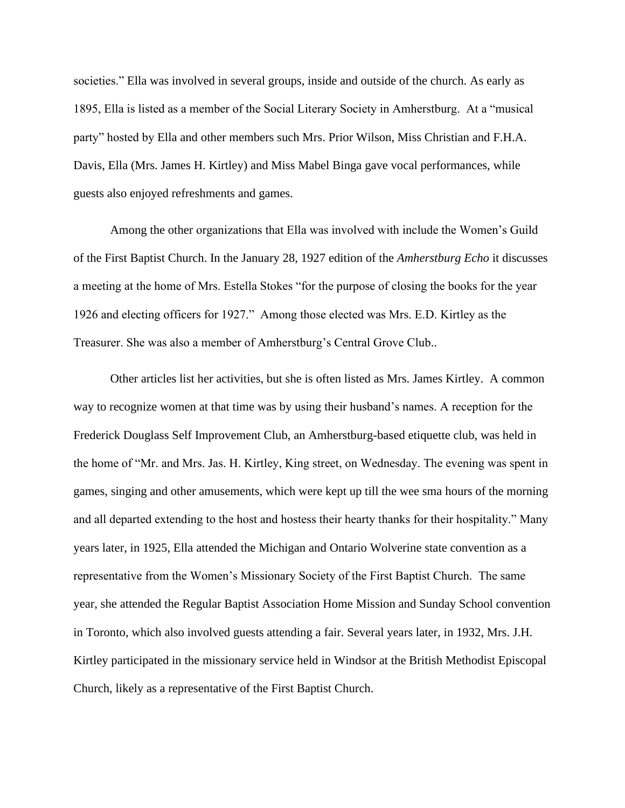societies." Ella was involved in several groups, inside and outside of the church. As early as 1895, Ella is listed as a member of the Social Literary Society in Amherstburg. At a "musical party" hosted by Ella and other members such Mrs. Prior Wilson, Miss Christian and F.H.A. Davis, Ella (Mrs. James H. Kirtley) and Miss Mabel Binga gave vocal performances, while guests also enjoyed refreshments and games.

Among the other organizations that Ella was involved with include the Women's Guild of the First Baptist Church. In the January 28, 1927 edition of the *Amherstburg Echo* it discusses a meeting at the home of Mrs. Estella Stokes "for the purpose of closing the books for the year 1926 and electing officers for 1927." Among those elected was Mrs. E.D. Kirtley as the Treasurer. She was also a member of Amherstburg's Central Grove Club..

Other articles list her activities, but she is often listed as Mrs. James Kirtley. A common way to recognize women at that time was by using their husband's names. A reception for the Frederick Douglass Self Improvement Club, an Amherstburg-based etiquette club, was held in the home of "Mr. and Mrs. Jas. H. Kirtley, King street, on Wednesday. The evening was spent in games, singing and other amusements, which were kept up till the wee sma hours of the morning and all departed extending to the host and hostess their hearty thanks for their hospitality." Many years later, in 1925, Ella attended the Michigan and Ontario Wolverine state convention as a representative from the Women's Missionary Society of the First Baptist Church. The same year, she attended the Regular Baptist Association Home Mission and Sunday School convention in Toronto, which also involved guests attending a fair. Several years later, in 1932, Mrs. J.H. Kirtley participated in the missionary service held in Windsor at the British Methodist Episcopal Church, likely as a representative of the First Baptist Church.